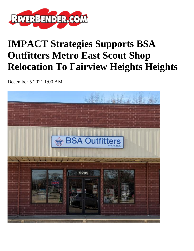

## **IMPACT Strategies Supports BSA Outfitters Metro East Scout Shop Relocation To Fairview Heights Heights**

December 5 2021 1:00 AM